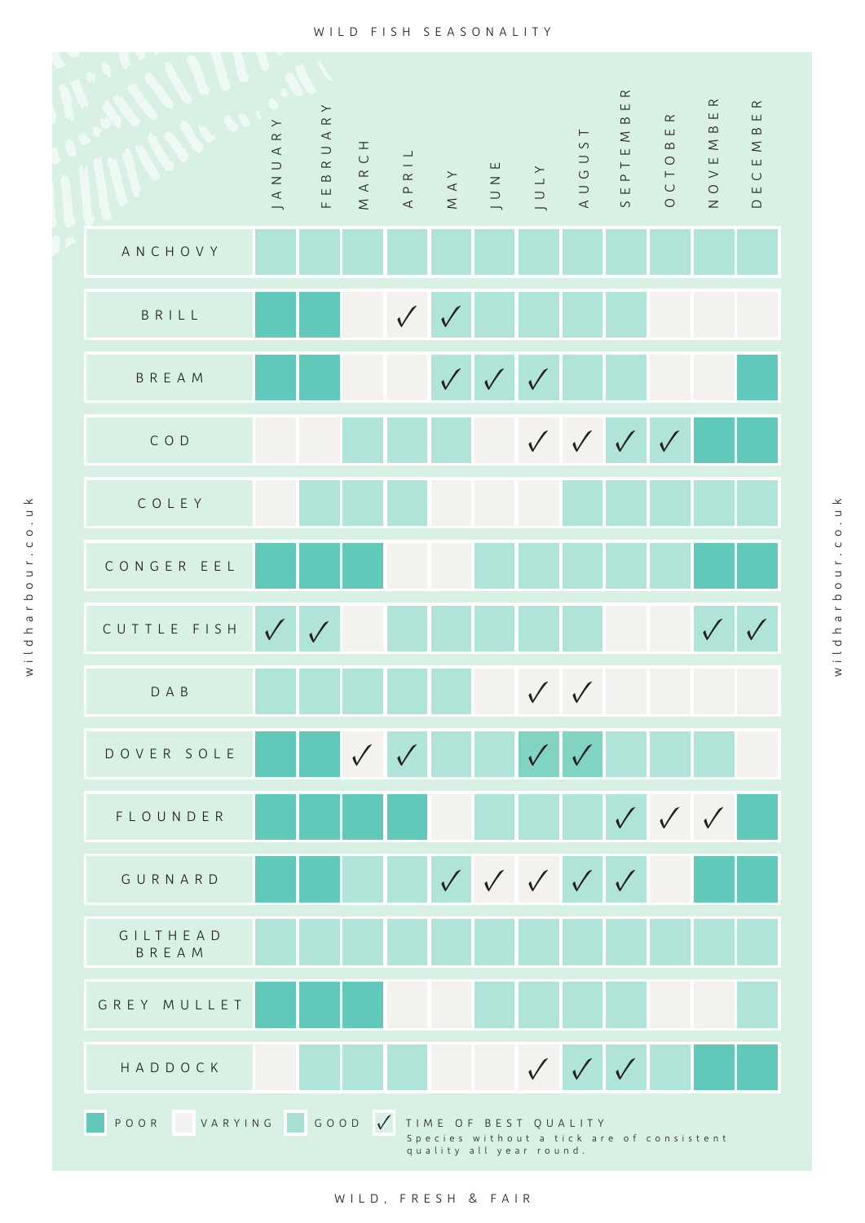

 $\overline{\mathbf{y}}$ wildharbour.co.ukwidharbour.co.u wild harbour.co.uk wildharbour.co.uk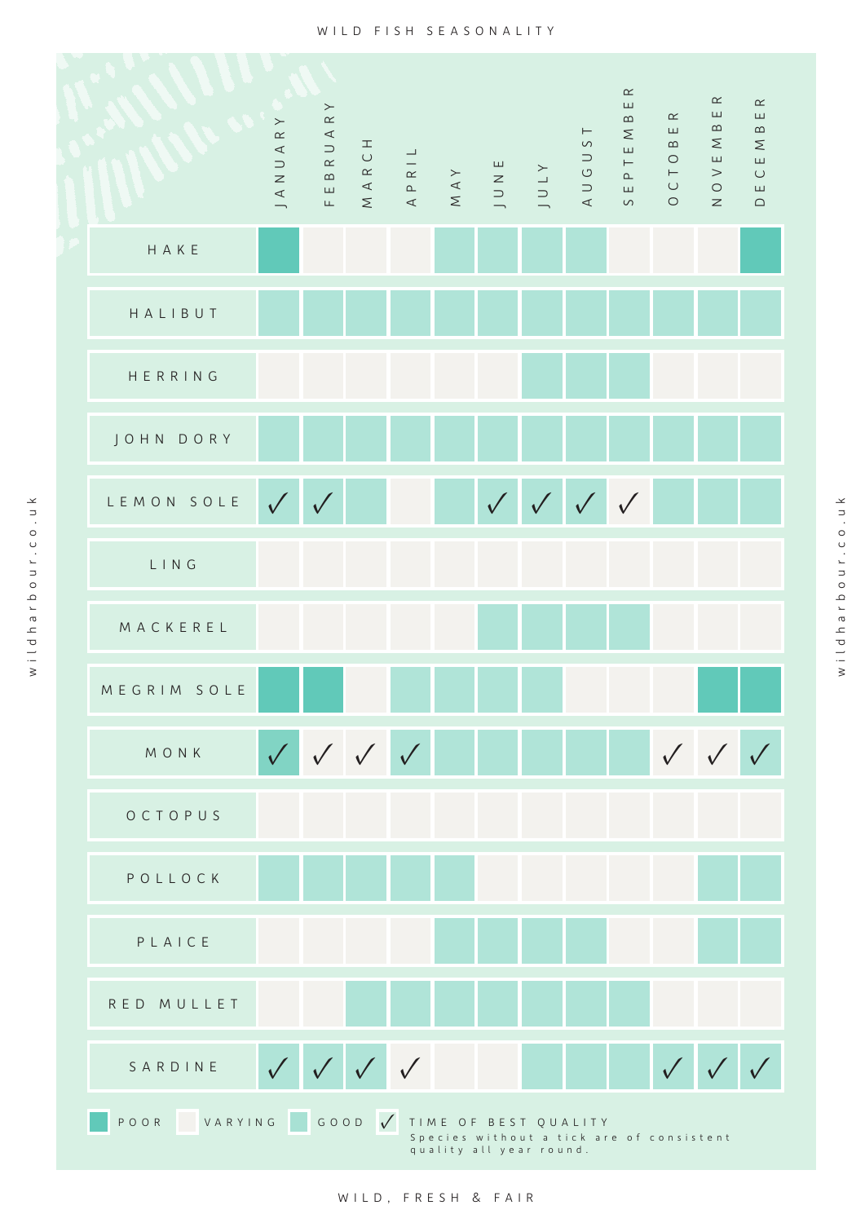

wildharbour.co.uk

wildharbour.co.uk